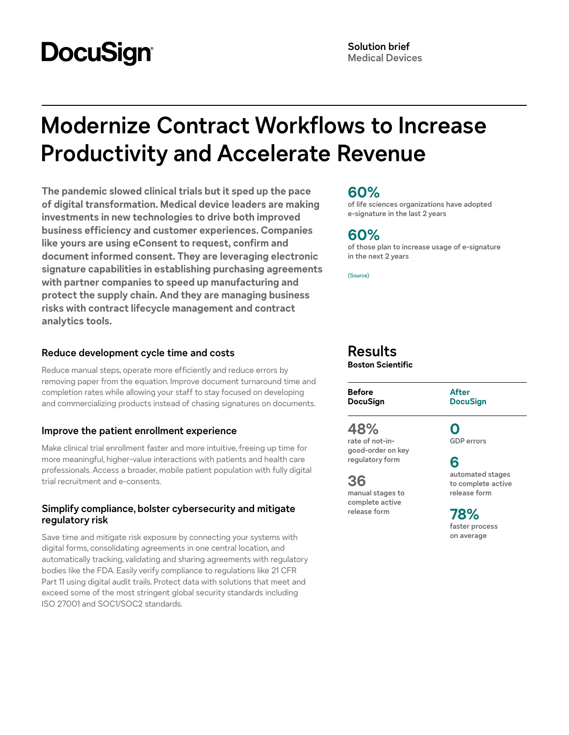# **DocuSign**

# **Modernize Contract Workflows to Increase Productivity and Accelerate Revenue**

**The pandemic slowed clinical trials but it sped up the pace of digital transformation. Medical device leaders are making investments in new technologies to drive both improved business efficiency and customer experiences. Companies like yours are using eConsent to request, confirm and document informed consent. They are leveraging electronic signature capabilities in establishing purchasing agreements with partner companies to speed up manufacturing and protect the supply chain. And they are managing business risks with contract lifecycle management and contract analytics tools.**

## **Reduce development cycle time and costs**

Reduce manual steps, operate more efficiently and reduce errors by removing paper from the equation. Improve document turnaround time and completion rates while allowing your staff to stay focused on developing and commercializing products instead of chasing signatures on documents.

# **Improve the patient enrollment experience**

Make clinical trial enrollment faster and more intuitive, freeing up time for more meaningful, higher-value interactions with patients and health care professionals. Access a broader, mobile patient population with fully digital trial recruitment and e-consents.

## **Simplify compliance, bolster cybersecurity and mitigate regulatory risk**

Save time and mitigate risk exposure by connecting your systems with digital forms, consolidating agreements in one central location, and automatically tracking, validating and sharing agreements with regulatory bodies like the FDA. Easily verify compliance to regulations like 21 CFR Part 11 using digital audit trails. Protect data with solutions that meet and exceed some of the most stringent global security standards including ISO 27001 and SOC1/SOC2 standards.

# **60%**

**of life sciences organizations have adopted e-signature in the last 2 years**

# **60%**

**of those plan to increase usage of e-signature in the next 2 years**

[\(Source\)](https://www.docusign.com/white-papers/10-reasons-to-adopt-e-signature)

# **Results**

**Boston Scientific**

| <b>Before</b>   | <b>After</b>    |
|-----------------|-----------------|
| <b>DocuSign</b> | <b>DocuSign</b> |
|                 |                 |

# **48%**

**rate of not-ingood-order on key regulatory form**

**36 manual stages to complete active release form**

**0 GDP errors**

**6 automated stages** 

**to complete active release form**

**78% faster process on average**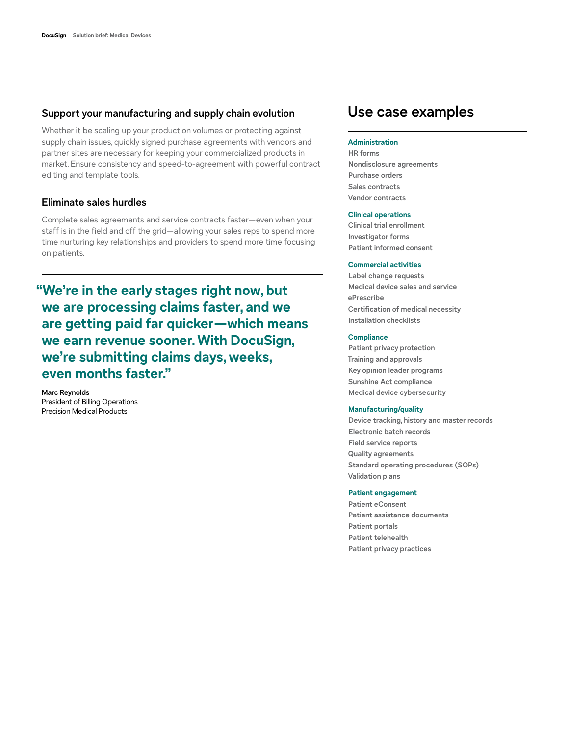### **Support your manufacturing and supply chain evolution**

Whether it be scaling up your production volumes or protecting against supply chain issues, quickly signed purchase agreements with vendors and partner sites are necessary for keeping your commercialized products in market. Ensure consistency and speed-to-agreement with powerful contract editing and template tools.

## **Eliminate sales hurdles**

Complete sales agreements and service contracts faster—even when your staff is in the field and off the grid—allowing your sales reps to spend more time nurturing key relationships and providers to spend more time focusing on patients.

**"We're in the early stages right now, but we are processing claims faster, and we are getting paid far quicker—which means we earn revenue sooner. With DocuSign, we're submitting claims days, weeks, even months faster."**

**Marc Reynolds** President of Billing Operations Precision Medical Products

# **Use case examples**

#### **Administration**

**HR forms Nondisclosure agreements Purchase orders Sales contracts Vendor contracts**

#### **Clinical operations**

**Clinical trial enrollment Investigator forms Patient informed consent**

#### **Commercial activities**

**Label change requests Medical device sales and service ePrescribe Certification of medical necessity Installation checklists**

#### **Compliance**

**Patient privacy protection Training and approvals Key opinion leader programs Sunshine Act compliance Medical device cybersecurity**

#### **Manufacturing/quality**

**Device tracking, history and master records Electronic batch records Field service reports Quality agreements Standard operating procedures (SOPs) Validation plans**

#### **Patient engagement**

**Patient eConsent Patient assistance documents Patient portals Patient telehealth Patient privacy practices**